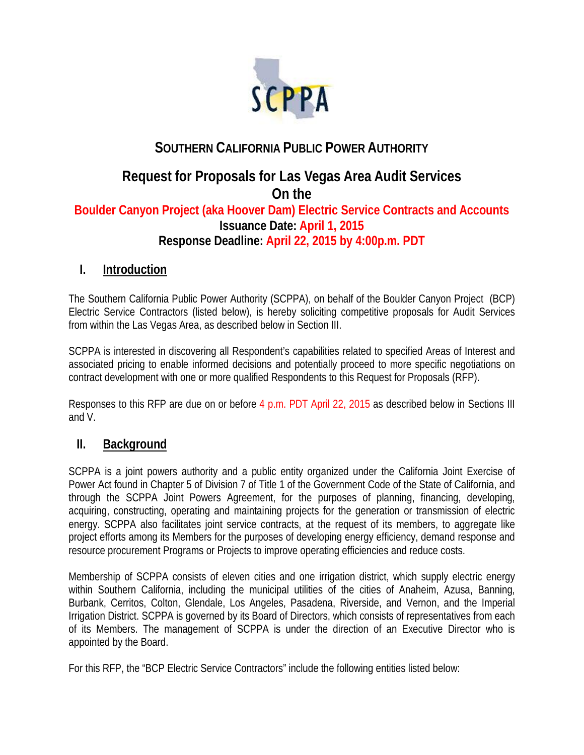

# **SOUTHERN CALIFORNIA PUBLIC POWER AUTHORITY**

# **Request for Proposals for Las Vegas Area Audit Services On the Boulder Canyon Project (aka Hoover Dam) Electric Service Contracts and Accounts Issuance Date: April 1, 2015 Response Deadline: April 22, 2015 by 4:00p.m. PDT**

### **I. Introduction**

The Southern California Public Power Authority (SCPPA), on behalf of the Boulder Canyon Project (BCP) Electric Service Contractors (listed below), is hereby soliciting competitive proposals for Audit Services from within the Las Vegas Area, as described below in Section III.

SCPPA is interested in discovering all Respondent's capabilities related to specified Areas of Interest and associated pricing to enable informed decisions and potentially proceed to more specific negotiations on contract development with one or more qualified Respondents to this Request for Proposals (RFP).

Responses to this RFP are due on or before 4 p.m. PDT April 22, 2015 as described below in Sections III and V.

### **II. Background**

SCPPA is a joint powers authority and a public entity organized under the California Joint Exercise of Power Act found in Chapter 5 of Division 7 of Title 1 of the Government Code of the State of California, and through the SCPPA Joint Powers Agreement, for the purposes of planning, financing, developing, acquiring, constructing, operating and maintaining projects for the generation or transmission of electric energy. SCPPA also facilitates joint service contracts, at the request of its members, to aggregate like project efforts among its Members for the purposes of developing energy efficiency, demand response and resource procurement Programs or Projects to improve operating efficiencies and reduce costs.

Membership of SCPPA consists of eleven cities and one irrigation district, which supply electric energy within Southern California, including the municipal utilities of the cities of Anaheim, Azusa, Banning, Burbank, Cerritos, Colton, Glendale, Los Angeles, Pasadena, Riverside, and Vernon, and the Imperial Irrigation District. SCPPA is governed by its Board of Directors, which consists of representatives from each of its Members. The management of SCPPA is under the direction of an Executive Director who is appointed by the Board.

For this RFP, the "BCP Electric Service Contractors" include the following entities listed below: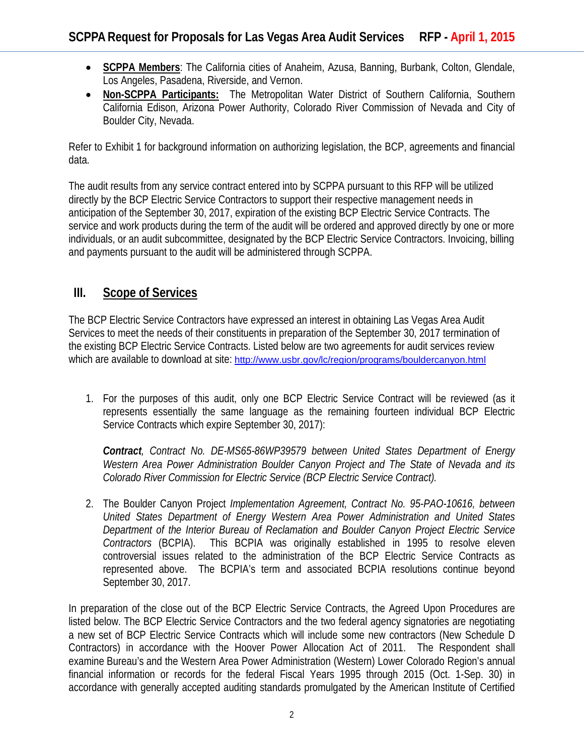- **SCPPA Members**: The California cities of Anaheim, Azusa, Banning, Burbank, Colton, Glendale, Los Angeles, Pasadena, Riverside, and Vernon.
- **Non-SCPPA Participants:** The Metropolitan Water District of Southern California, Southern California Edison, Arizona Power Authority, Colorado River Commission of Nevada and City of Boulder City, Nevada.

Refer to Exhibit 1 for background information on authorizing legislation, the BCP, agreements and financial data.

The audit results from any service contract entered into by SCPPA pursuant to this RFP will be utilized directly by the BCP Electric Service Contractors to support their respective management needs in anticipation of the September 30, 2017, expiration of the existing BCP Electric Service Contracts. The service and work products during the term of the audit will be ordered and approved directly by one or more individuals, or an audit subcommittee, designated by the BCP Electric Service Contractors. Invoicing, billing and payments pursuant to the audit will be administered through SCPPA.

## **III. Scope of Services**

The BCP Electric Service Contractors have expressed an interest in obtaining Las Vegas Area Audit Services to meet the needs of their constituents in preparation of the September 30, 2017 termination of the existing BCP Electric Service Contracts. Listed below are two agreements for audit services review which are available to download at site: <http://www.usbr.gov/lc/region/programs/bouldercanyon.html>

1. For the purposes of this audit, only one BCP Electric Service Contract will be reviewed (as it represents essentially the same language as the remaining fourteen individual BCP Electric Service Contracts which expire September 30, 2017):

*Contract, Contract No. DE-MS65-86WP39579 between United States Department of Energy Western Area Power Administration Boulder Canyon Project and The State of Nevada and its Colorado River Commission for Electric Service (BCP Electric Service Contract).*

2. The Boulder Canyon Project *Implementation Agreement, Contract No. 95-PAO-10616, between United States Department of Energy Western Area Power Administration and United States Department of the Interior Bureau of Reclamation and Boulder Canyon Project Electric Service Contractors* (BCPIA). This BCPIA was originally established in 1995 to resolve eleven controversial issues related to the administration of the BCP Electric Service Contracts as represented above. The BCPIA's term and associated BCPIA resolutions continue beyond September 30, 2017.

In preparation of the close out of the BCP Electric Service Contracts, the Agreed Upon Procedures are listed below. The BCP Electric Service Contractors and the two federal agency signatories are negotiating a new set of BCP Electric Service Contracts which will include some new contractors (New Schedule D Contractors) in accordance with the Hoover Power Allocation Act of 2011. The Respondent shall examine Bureau's and the Western Area Power Administration (Western) Lower Colorado Region's annual financial information or records for the federal Fiscal Years 1995 through 2015 (Oct. 1-Sep. 30) in accordance with generally accepted auditing standards promulgated by the American Institute of Certified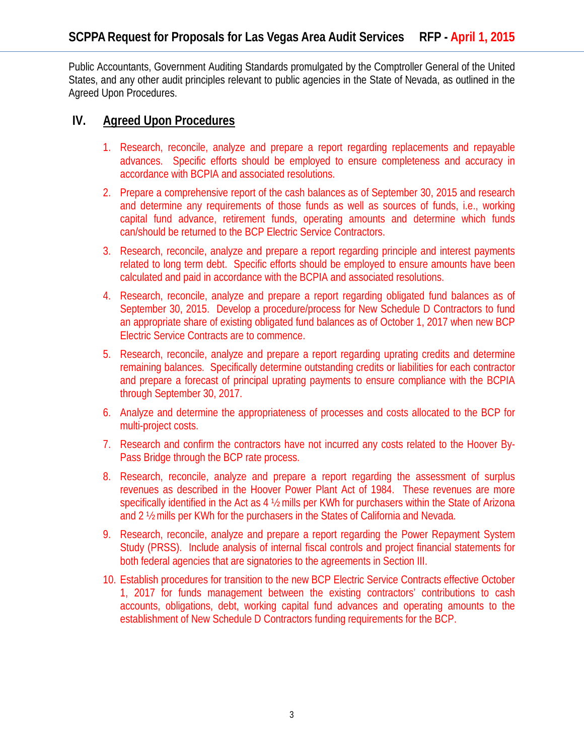Public Accountants, Government Auditing Standards promulgated by the Comptroller General of the United States, and any other audit principles relevant to public agencies in the State of Nevada, as outlined in the Agreed Upon Procedures.

### **IV. Agreed Upon Procedures**

- 1. Research, reconcile, analyze and prepare a report regarding replacements and repayable advances. Specific efforts should be employed to ensure completeness and accuracy in accordance with BCPIA and associated resolutions.
- 2. Prepare a comprehensive report of the cash balances as of September 30, 2015 and research and determine any requirements of those funds as well as sources of funds, i.e., working capital fund advance, retirement funds, operating amounts and determine which funds can/should be returned to the BCP Electric Service Contractors.
- 3. Research, reconcile, analyze and prepare a report regarding principle and interest payments related to long term debt. Specific efforts should be employed to ensure amounts have been calculated and paid in accordance with the BCPIA and associated resolutions.
- 4. Research, reconcile, analyze and prepare a report regarding obligated fund balances as of September 30, 2015. Develop a procedure/process for New Schedule D Contractors to fund an appropriate share of existing obligated fund balances as of October 1, 2017 when new BCP Electric Service Contracts are to commence.
- 5. Research, reconcile, analyze and prepare a report regarding uprating credits and determine remaining balances. Specifically determine outstanding credits or liabilities for each contractor and prepare a forecast of principal uprating payments to ensure compliance with the BCPIA through September 30, 2017.
- 6. Analyze and determine the appropriateness of processes and costs allocated to the BCP for multi-project costs.
- 7. Research and confirm the contractors have not incurred any costs related to the Hoover By-Pass Bridge through the BCP rate process.
- 8. Research, reconcile, analyze and prepare a report regarding the assessment of surplus revenues as described in the Hoover Power Plant Act of 1984. These revenues are more specifically identified in the Act as 4 ½ mills per KWh for purchasers within the State of Arizona and 2 ½ mills per KWh for the purchasers in the States of California and Nevada.
- 9. Research, reconcile, analyze and prepare a report regarding the Power Repayment System Study (PRSS). Include analysis of internal fiscal controls and project financial statements for both federal agencies that are signatories to the agreements in Section III.
- 10. Establish procedures for transition to the new BCP Electric Service Contracts effective October 1, 2017 for funds management between the existing contractors' contributions to cash accounts, obligations, debt, working capital fund advances and operating amounts to the establishment of New Schedule D Contractors funding requirements for the BCP.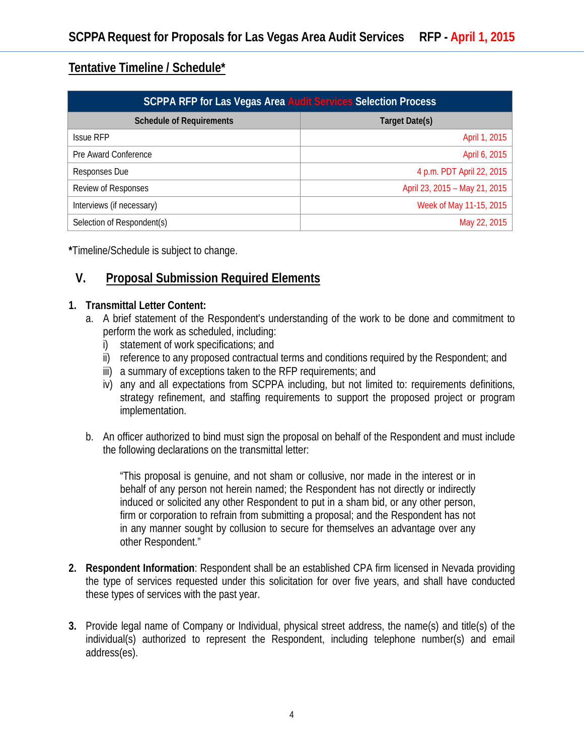# **Tentative Timeline / Schedule\***

| <b>SCPPA RFP for Las Vegas Area Audit Services Selection Process</b> |                               |
|----------------------------------------------------------------------|-------------------------------|
| <b>Schedule of Requirements</b>                                      | Target Date(s)                |
| <b>Issue RFP</b>                                                     | April 1, 2015                 |
| Pre Award Conference                                                 | April 6, 2015                 |
| Responses Due                                                        | 4 p.m. PDT April 22, 2015     |
| Review of Responses                                                  | April 23, 2015 - May 21, 2015 |
| Interviews (if necessary)                                            | Week of May 11-15, 2015       |
| Selection of Respondent(s)                                           | May 22, 2015                  |

**\***Timeline/Schedule is subject to change.

# **V. Proposal Submission Required Elements**

#### **1. Transmittal Letter Content:**

- a. A brief statement of the Respondent's understanding of the work to be done and commitment to perform the work as scheduled, including:
	- i) statement of work specifications; and
	- ii) reference to any proposed contractual terms and conditions required by the Respondent; and
	- iii) a summary of exceptions taken to the RFP requirements; and
	- iv) any and all expectations from SCPPA including, but not limited to: requirements definitions, strategy refinement, and staffing requirements to support the proposed project or program implementation.
- b. An officer authorized to bind must sign the proposal on behalf of the Respondent and must include the following declarations on the transmittal letter:

"This proposal is genuine, and not sham or collusive, nor made in the interest or in behalf of any person not herein named; the Respondent has not directly or indirectly induced or solicited any other Respondent to put in a sham bid, or any other person, firm or corporation to refrain from submitting a proposal; and the Respondent has not in any manner sought by collusion to secure for themselves an advantage over any other Respondent."

- **2. Respondent Information**: Respondent shall be an established CPA firm licensed in Nevada providing the type of services requested under this solicitation for over five years, and shall have conducted these types of services with the past year.
- **3.** Provide legal name of Company or Individual, physical street address, the name(s) and title(s) of the individual(s) authorized to represent the Respondent, including telephone number(s) and email address(es).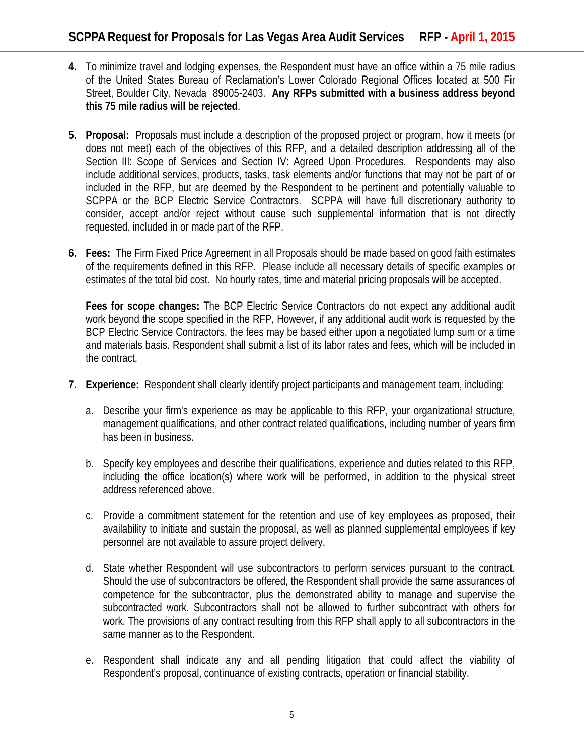- **4.** To minimize travel and lodging expenses, the Respondent must have an office within a 75 mile radius of the United States Bureau of Reclamation's Lower Colorado Regional Offices located at 500 Fir Street, Boulder City, Nevada 89005-2403. **Any RFPs submitted with a business address beyond this 75 mile radius will be rejected**.
- **5. Proposal:** Proposals must include a description of the proposed project or program, how it meets (or does not meet) each of the objectives of this RFP, and a detailed description addressing all of the Section III: Scope of Services and Section IV: Agreed Upon Procedures. Respondents may also include additional services, products, tasks, task elements and/or functions that may not be part of or included in the RFP, but are deemed by the Respondent to be pertinent and potentially valuable to SCPPA or the BCP Electric Service Contractors. SCPPA will have full discretionary authority to consider, accept and/or reject without cause such supplemental information that is not directly requested, included in or made part of the RFP.
- **6. Fees:** The Firm Fixed Price Agreement in all Proposals should be made based on good faith estimates of the requirements defined in this RFP. Please include all necessary details of specific examples or estimates of the total bid cost. No hourly rates, time and material pricing proposals will be accepted.

**Fees for scope changes:** The BCP Electric Service Contractors do not expect any additional audit work beyond the scope specified in the RFP, However, if any additional audit work is requested by the BCP Electric Service Contractors, the fees may be based either upon a negotiated lump sum or a time and materials basis. Respondent shall submit a list of its labor rates and fees, which will be included in the contract.

- **7. Experience:** Respondent shall clearly identify project participants and management team, including:
	- a. Describe your firm's experience as may be applicable to this RFP, your organizational structure, management qualifications, and other contract related qualifications, including number of years firm has been in business.
	- b. Specify key employees and describe their qualifications, experience and duties related to this RFP, including the office location(s) where work will be performed, in addition to the physical street address referenced above.
	- c. Provide a commitment statement for the retention and use of key employees as proposed, their availability to initiate and sustain the proposal, as well as planned supplemental employees if key personnel are not available to assure project delivery.
	- d. State whether Respondent will use subcontractors to perform services pursuant to the contract. Should the use of subcontractors be offered, the Respondent shall provide the same assurances of competence for the subcontractor, plus the demonstrated ability to manage and supervise the subcontracted work. Subcontractors shall not be allowed to further subcontract with others for work. The provisions of any contract resulting from this RFP shall apply to all subcontractors in the same manner as to the Respondent.
	- e. Respondent shall indicate any and all pending litigation that could affect the viability of Respondent's proposal, continuance of existing contracts, operation or financial stability.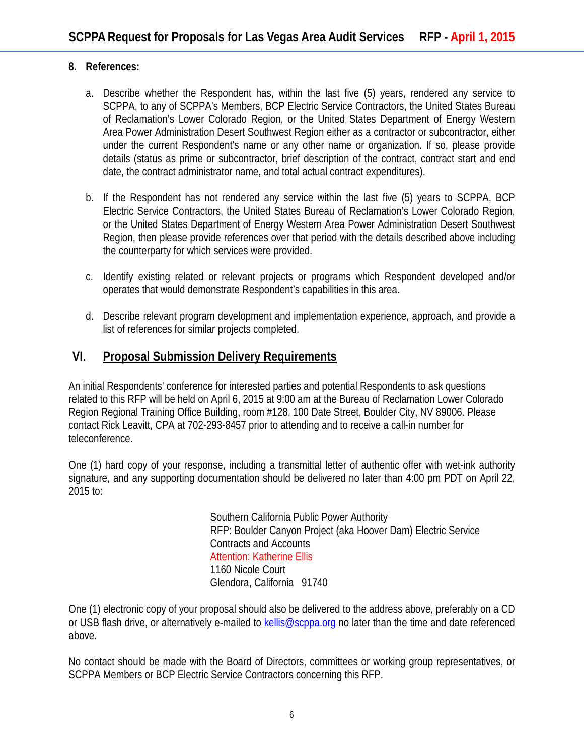#### **8. References:**

- a. Describe whether the Respondent has, within the last five (5) years, rendered any service to SCPPA, to any of SCPPA's Members, BCP Electric Service Contractors, the United States Bureau of Reclamation's Lower Colorado Region, or the United States Department of Energy Western Area Power Administration Desert Southwest Region either as a contractor or subcontractor, either under the current Respondent's name or any other name or organization. If so, please provide details (status as prime or subcontractor, brief description of the contract, contract start and end date, the contract administrator name, and total actual contract expenditures).
- b. If the Respondent has not rendered any service within the last five (5) years to SCPPA, BCP Electric Service Contractors, the United States Bureau of Reclamation's Lower Colorado Region, or the United States Department of Energy Western Area Power Administration Desert Southwest Region, then please provide references over that period with the details described above including the counterparty for which services were provided.
- c. Identify existing related or relevant projects or programs which Respondent developed and/or operates that would demonstrate Respondent's capabilities in this area.
- d. Describe relevant program development and implementation experience, approach, and provide a list of references for similar projects completed.

## **VI. Proposal Submission Delivery Requirements**

An initial Respondents' conference for interested parties and potential Respondents to ask questions related to this RFP will be held on April 6, 2015 at 9:00 am at the Bureau of Reclamation Lower Colorado Region Regional Training Office Building, room #128, 100 Date Street, Boulder City, NV 89006. Please contact Rick Leavitt, CPA at 702-293-8457 prior to attending and to receive a call-in number for teleconference.

One (1) hard copy of your response, including a transmittal letter of authentic offer with wet-ink authority signature, and any supporting documentation should be delivered no later than 4:00 pm PDT on April 22, 2015 to:

> Southern California Public Power Authority RFP: Boulder Canyon Project (aka Hoover Dam) Electric Service Contracts and Accounts Attention: Katherine Ellis 1160 Nicole Court Glendora, California 91740

One (1) electronic copy of your proposal should also be delivered to the address above, preferably on a CD or USB flash drive, or alternatively e-mailed to [kellis@scppa.org](mailto:shomer@scppa.org) no later than the time and date referenced above.

No contact should be made with the Board of Directors, committees or working group representatives, or SCPPA Members or BCP Electric Service Contractors concerning this RFP.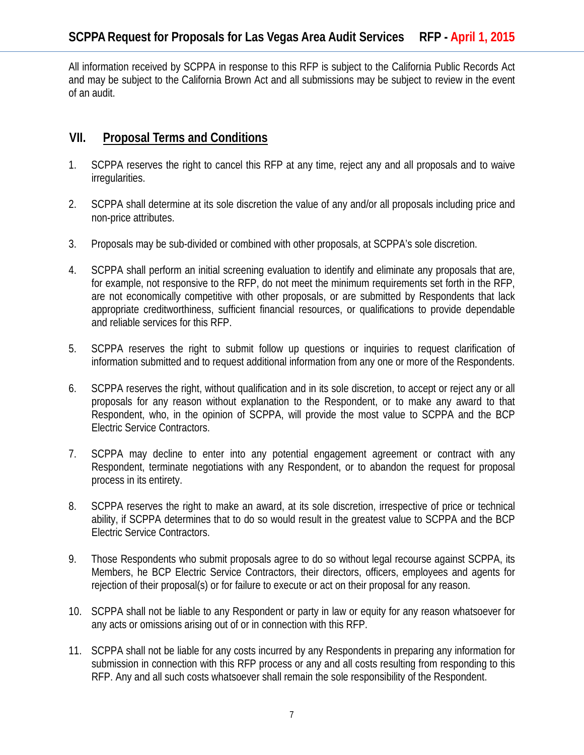All information received by SCPPA in response to this RFP is subject to the California Public Records Act and may be subject to the California Brown Act and all submissions may be subject to review in the event of an audit.

## **VII. Proposal Terms and Conditions**

- 1. SCPPA reserves the right to cancel this RFP at any time, reject any and all proposals and to waive irregularities.
- 2. SCPPA shall determine at its sole discretion the value of any and/or all proposals including price and non-price attributes.
- 3. Proposals may be sub-divided or combined with other proposals, at SCPPA's sole discretion.
- 4. SCPPA shall perform an initial screening evaluation to identify and eliminate any proposals that are, for example, not responsive to the RFP, do not meet the minimum requirements set forth in the RFP, are not economically competitive with other proposals, or are submitted by Respondents that lack appropriate creditworthiness, sufficient financial resources, or qualifications to provide dependable and reliable services for this RFP.
- 5. SCPPA reserves the right to submit follow up questions or inquiries to request clarification of information submitted and to request additional information from any one or more of the Respondents.
- 6. SCPPA reserves the right, without qualification and in its sole discretion, to accept or reject any or all proposals for any reason without explanation to the Respondent, or to make any award to that Respondent, who, in the opinion of SCPPA, will provide the most value to SCPPA and the BCP Electric Service Contractors.
- 7. SCPPA may decline to enter into any potential engagement agreement or contract with any Respondent, terminate negotiations with any Respondent, or to abandon the request for proposal process in its entirety.
- 8. SCPPA reserves the right to make an award, at its sole discretion, irrespective of price or technical ability, if SCPPA determines that to do so would result in the greatest value to SCPPA and the BCP Electric Service Contractors.
- 9. Those Respondents who submit proposals agree to do so without legal recourse against SCPPA, its Members, he BCP Electric Service Contractors, their directors, officers, employees and agents for rejection of their proposal(s) or for failure to execute or act on their proposal for any reason.
- 10. SCPPA shall not be liable to any Respondent or party in law or equity for any reason whatsoever for any acts or omissions arising out of or in connection with this RFP.
- 11. SCPPA shall not be liable for any costs incurred by any Respondents in preparing any information for submission in connection with this RFP process or any and all costs resulting from responding to this RFP. Any and all such costs whatsoever shall remain the sole responsibility of the Respondent.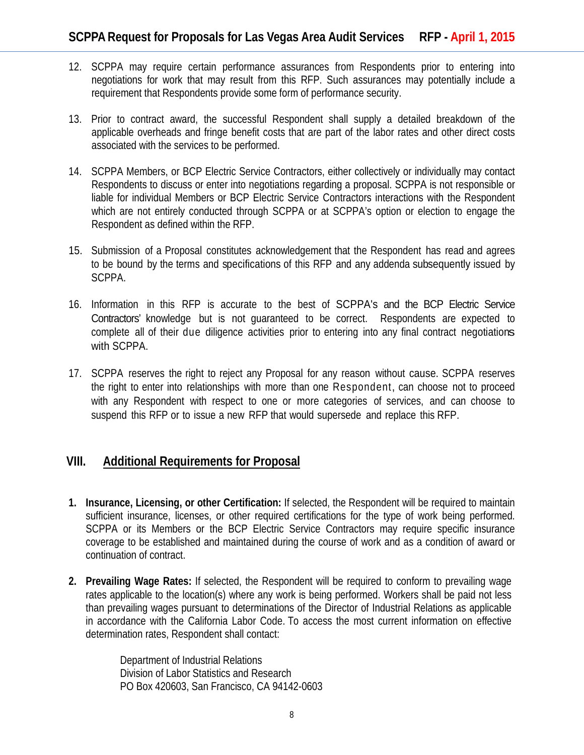- 12. SCPPA may require certain performance assurances from Respondents prior to entering into negotiations for work that may result from this RFP. Such assurances may potentially include a requirement that Respondents provide some form of performance security.
- 13. Prior to contract award, the successful Respondent shall supply a detailed breakdown of the applicable overheads and fringe benefit costs that are part of the labor rates and other direct costs associated with the services to be performed.
- 14. SCPPA Members, or BCP Electric Service Contractors, either collectively or individually may contact Respondents to discuss or enter into negotiations regarding a proposal. SCPPA is not responsible or liable for individual Members or BCP Electric Service Contractors interactions with the Respondent which are not entirely conducted through SCPPA or at SCPPA's option or election to engage the Respondent as defined within the RFP.
- 15. Submission of a Proposal constitutes acknowledgement that the Respondent has read and agrees to be bound by the terms and specifications of this RFP and any addenda subsequently issued by SCPPA.
- 16. Information in this RFP is accurate to the best of SCPPA's and the BCP Electric Service Contractors' knowledge but is not guaranteed to be correct. Respondents are expected to complete all of their due diligence activities prior to entering into any final contract negotiations with SCPPA.
- 17. SCPPA reserves the right to reject any Proposal for any reason without cause. SCPPA reserves the right to enter into relationships with more than one Respondent, can choose not to proceed with any Respondent with respect to one or more categories of services, and can choose to suspend this RFP or to issue a new RFP that would supersede and replace this RFP.

### **VIII. Additional Requirements for Proposal**

- **1. Insurance, Licensing, or other Certification:** If selected, the Respondent will be required to maintain sufficient insurance, licenses, or other required certifications for the type of work being performed. SCPPA or its Members or the BCP Electric Service Contractors may require specific insurance coverage to be established and maintained during the course of work and as a condition of award or continuation of contract.
- **2. Prevailing Wage Rates:** If selected, the Respondent will be required to conform to prevailing wage rates applicable to the location(s) where any work is being performed. Workers shall be paid not less than prevailing wages pursuant to determinations of the Director of Industrial Relations as applicable in accordance with the California Labor Code. To access the most current information on effective determination rates, Respondent shall contact:

Department of Industrial Relations Division of Labor Statistics and Research PO Box 420603, San Francisco, CA 94142-0603